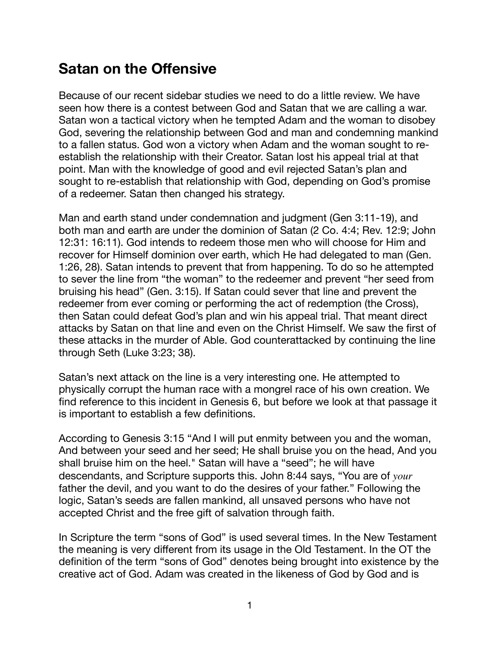# **Satan on the Offensive**

Because of our recent sidebar studies we need to do a little review. We have seen how there is a contest between God and Satan that we are calling a war. Satan won a tactical victory when he tempted Adam and the woman to disobey God, severing the relationship between God and man and condemning mankind to a fallen status. God won a victory when Adam and the woman sought to reestablish the relationship with their Creator. Satan lost his appeal trial at that point. Man with the knowledge of good and evil rejected Satan's plan and sought to re-establish that relationship with God, depending on God's promise of a redeemer. Satan then changed his strategy.

Man and earth stand under condemnation and judgment (Gen 3:11-19), and both man and earth are under the dominion of Satan (2 Co. 4:4; Rev. 12:9; John 12:31: 16:11). God intends to redeem those men who will choose for Him and recover for Himself dominion over earth, which He had delegated to man (Gen. 1:26, 28). Satan intends to prevent that from happening. To do so he attempted to sever the line from "the woman" to the redeemer and prevent "her seed from bruising his head" (Gen. 3:15). If Satan could sever that line and prevent the redeemer from ever coming or performing the act of redemption (the Cross), then Satan could defeat God's plan and win his appeal trial. That meant direct attacks by Satan on that line and even on the Christ Himself. We saw the first of these attacks in the murder of Able. God counterattacked by continuing the line through Seth (Luke 3:23; 38).

Satan's next attack on the line is a very interesting one. He attempted to physically corrupt the human race with a mongrel race of his own creation. We find reference to this incident in Genesis 6, but before we look at that passage it is important to establish a few definitions.

According to Genesis 3:15 "And I will put enmity between you and the woman, And between your seed and her seed; He shall bruise you on the head, And you shall bruise him on the heel." Satan will have a "seed"; he will have descendants, and Scripture supports this. John 8:44 says, "You are of *your* father the devil, and you want to do the desires of your father." Following the logic, Satan's seeds are fallen mankind, all unsaved persons who have not accepted Christ and the free gift of salvation through faith.

In Scripture the term "sons of God" is used several times. In the New Testament the meaning is very different from its usage in the Old Testament. In the OT the definition of the term "sons of God" denotes being brought into existence by the creative act of God. Adam was created in the likeness of God by God and is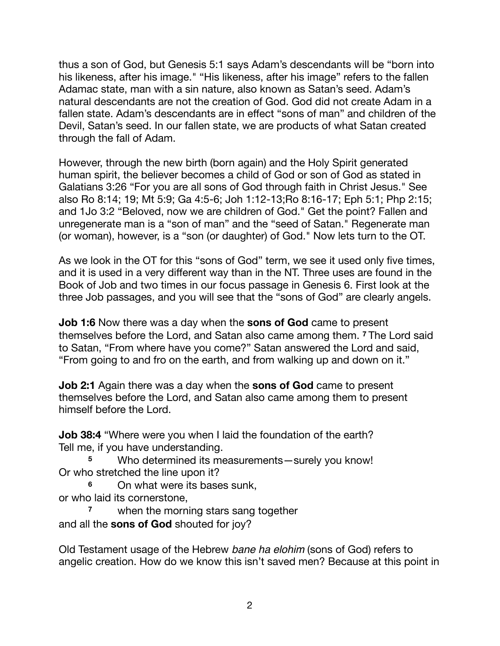thus a son of God, but Genesis 5:1 says Adam's descendants will be "born into his likeness, after his image." "His likeness, after his image" refers to the fallen Adamac state, man with a sin nature, also known as Satan's seed. Adam's natural descendants are not the creation of God. God did not create Adam in a fallen state. Adam's descendants are in effect "sons of man" and children of the Devil, Satan's seed. In our fallen state, we are products of what Satan created through the fall of Adam.

However, through the new birth (born again) and the Holy Spirit generated human spirit, the believer becomes a child of God or son of God as stated in Galatians 3:26 "For you are all sons of God through faith in Christ Jesus." See also Ro 8:14; 19; Mt 5:9; Ga 4:5-6; Joh 1:12-13;Ro 8:16-17; Eph 5:1; Php 2:15; and 1Jo 3:2 "Beloved, now we are children of God." Get the point? Fallen and unregenerate man is a "son of man" and the "seed of Satan." Regenerate man (or woman), however, is a "son (or daughter) of God." Now lets turn to the OT.

As we look in the OT for this "sons of God" term, we see it used only five times, and it is used in a very different way than in the NT. Three uses are found in the Book of Job and two times in our focus passage in Genesis 6. First look at the three Job passages, and you will see that the "sons of God" are clearly angels.

**Job 1:6** Now there was a day when the **sons of God** came to present themselves before the Lord, and Satan also came among them. **<sup>7</sup>** The Lord said to Satan, "From where have you come?" Satan answered the Lord and said, "From going to and fro on the earth, and from walking up and down on it."

**Job 2:1** Again there was a day when the **sons of God** came to present themselves before the Lord, and Satan also came among them to present himself before the Lord.

**Job 38:4** "Where were you when I laid the foundation of the earth? Tell me, if you have understanding.

**<sup>5</sup>** Who determined its measurements—surely you know! Or who stretched the line upon it?

**<sup>6</sup>** On what were its bases sunk, or who laid its cornerstone,

**<sup>7</sup>** when the morning stars sang together and all the **sons of God** shouted for joy?

Old Testament usage of the Hebrew *bane ha elohim* (sons of God) refers to angelic creation. How do we know this isn't saved men? Because at this point in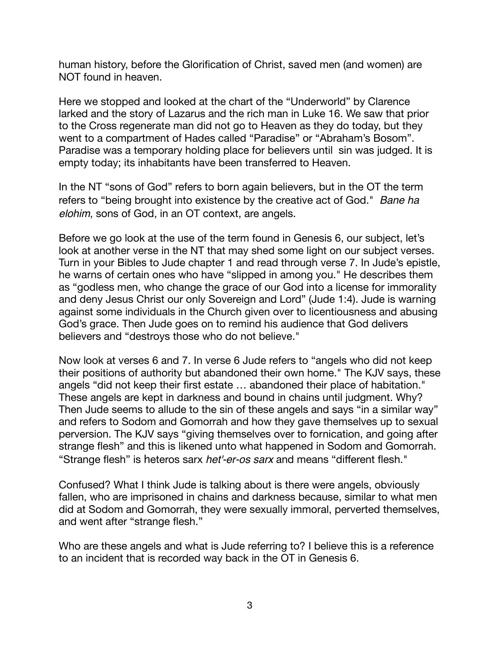human history, before the Glorification of Christ, saved men (and women) are NOT found in heaven.

Here we stopped and looked at the chart of the "Underworld" by Clarence larked and the story of Lazarus and the rich man in Luke 16. We saw that prior to the Cross regenerate man did not go to Heaven as they do today, but they went to a compartment of Hades called "Paradise" or "Abraham's Bosom". Paradise was a temporary holding place for believers until sin was judged. It is empty today; its inhabitants have been transferred to Heaven.

In the NT "sons of God" refers to born again believers, but in the OT the term refers to "being brought into existence by the creative act of God." *Bane ha elohim*, sons of God, in an OT context, are angels.

Before we go look at the use of the term found in Genesis 6, our subject, let's look at another verse in the NT that may shed some light on our subject verses. Turn in your Bibles to Jude chapter 1 and read through verse 7. In Jude's epistle, he warns of certain ones who have "slipped in among you." He describes them as "godless men, who change the grace of our God into a license for immorality and deny Jesus Christ our only Sovereign and Lord" (Jude 1:4). Jude is warning against some individuals in the Church given over to licentiousness and abusing God's grace. Then Jude goes on to remind his audience that God delivers believers and "destroys those who do not believe."

Now look at verses 6 and 7. In verse 6 Jude refers to "angels who did not keep their positions of authority but abandoned their own home." The KJV says, these angels "did not keep their first estate … abandoned their place of habitation." These angels are kept in darkness and bound in chains until judgment. Why? Then Jude seems to allude to the sin of these angels and says "in a similar way" and refers to Sodom and Gomorrah and how they gave themselves up to sexual perversion. The KJV says "giving themselves over to fornication, and going after strange flesh" and this is likened unto what happened in Sodom and Gomorrah. "Strange flesh" is heteros sarx *het'-er-os sarx* and means "different flesh."

Confused? What I think Jude is talking about is there were angels, obviously fallen, who are imprisoned in chains and darkness because, similar to what men did at Sodom and Gomorrah, they were sexually immoral, perverted themselves, and went after "strange flesh."

Who are these angels and what is Jude referring to? I believe this is a reference to an incident that is recorded way back in the OT in Genesis 6.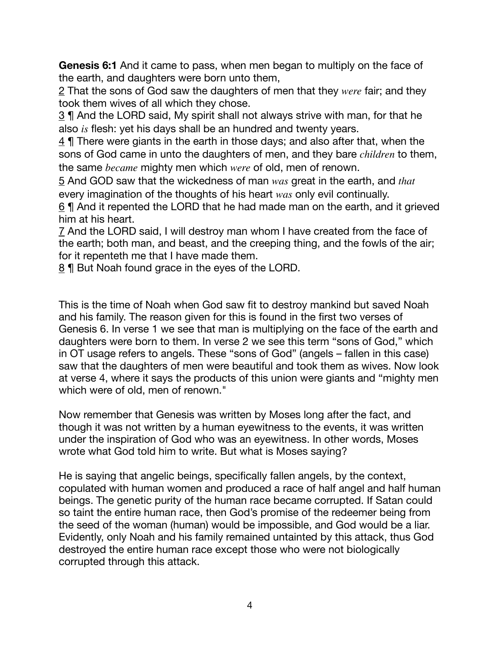**Genesis 6:1** And it came to pass, when men began to multiply on the face of the earth, and daughters were born unto them,

2 That the sons of God saw the daughters of men that they *were* fair; and they took them wives of all which they chose.

3 ¶ And the LORD said, My spirit shall not always strive with man, for that he also *is* flesh: yet his days shall be an hundred and twenty years.

4 ¶ There were giants in the earth in those days; and also after that, when the sons of God came in unto the daughters of men, and they bare *children* to them, the same *became* mighty men which *were* of old, men of renown.

5 And GOD saw that the wickedness of man *was* great in the earth, and *that* every imagination of the thoughts of his heart *was* only evil continually.

6 ¶ And it repented the LORD that he had made man on the earth, and it grieved him at his heart.

7 And the LORD said, I will destroy man whom I have created from the face of the earth; both man, and beast, and the creeping thing, and the fowls of the air; for it repenteth me that I have made them.

8 | But Noah found grace in the eyes of the LORD.

This is the time of Noah when God saw fit to destroy mankind but saved Noah and his family. The reason given for this is found in the first two verses of Genesis 6. In verse 1 we see that man is multiplying on the face of the earth and daughters were born to them. In verse 2 we see this term "sons of God," which in OT usage refers to angels. These "sons of God" (angels – fallen in this case) saw that the daughters of men were beautiful and took them as wives. Now look at verse 4, where it says the products of this union were giants and "mighty men which were of old, men of renown."

Now remember that Genesis was written by Moses long after the fact, and though it was not written by a human eyewitness to the events, it was written under the inspiration of God who was an eyewitness. In other words, Moses wrote what God told him to write. But what is Moses saying?

He is saying that angelic beings, specifically fallen angels, by the context, copulated with human women and produced a race of half angel and half human beings. The genetic purity of the human race became corrupted. If Satan could so taint the entire human race, then God's promise of the redeemer being from the seed of the woman (human) would be impossible, and God would be a liar. Evidently, only Noah and his family remained untainted by this attack, thus God destroyed the entire human race except those who were not biologically corrupted through this attack.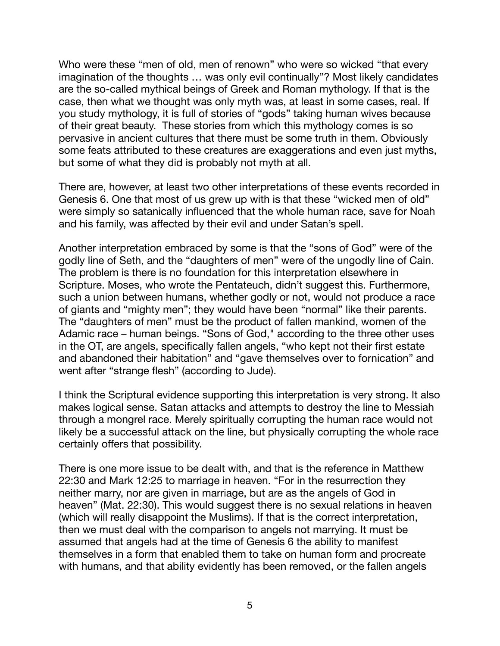Who were these "men of old, men of renown" who were so wicked "that every imagination of the thoughts … was only evil continually"? Most likely candidates are the so-called mythical beings of Greek and Roman mythology. If that is the case, then what we thought was only myth was, at least in some cases, real. If you study mythology, it is full of stories of "gods" taking human wives because of their great beauty. These stories from which this mythology comes is so pervasive in ancient cultures that there must be some truth in them. Obviously some feats attributed to these creatures are exaggerations and even just myths, but some of what they did is probably not myth at all.

There are, however, at least two other interpretations of these events recorded in Genesis 6. One that most of us grew up with is that these "wicked men of old" were simply so satanically influenced that the whole human race, save for Noah and his family, was affected by their evil and under Satan's spell.

Another interpretation embraced by some is that the "sons of God" were of the godly line of Seth, and the "daughters of men" were of the ungodly line of Cain. The problem is there is no foundation for this interpretation elsewhere in Scripture. Moses, who wrote the Pentateuch, didn't suggest this. Furthermore, such a union between humans, whether godly or not, would not produce a race of giants and "mighty men"; they would have been "normal" like their parents. The "daughters of men" must be the product of fallen mankind, women of the Adamic race – human beings. "Sons of God," according to the three other uses in the OT, are angels, specifically fallen angels, "who kept not their first estate and abandoned their habitation" and "gave themselves over to fornication" and went after "strange flesh" (according to Jude).

I think the Scriptural evidence supporting this interpretation is very strong. It also makes logical sense. Satan attacks and attempts to destroy the line to Messiah through a mongrel race. Merely spiritually corrupting the human race would not likely be a successful attack on the line, but physically corrupting the whole race certainly offers that possibility.

There is one more issue to be dealt with, and that is the reference in Matthew 22:30 and Mark 12:25 to marriage in heaven. "For in the resurrection they neither marry, nor are given in marriage, but are as the angels of God in heaven" (Mat. 22:30). This would suggest there is no sexual relations in heaven (which will really disappoint the Muslims). If that is the correct interpretation, then we must deal with the comparison to angels not marrying. It must be assumed that angels had at the time of Genesis 6 the ability to manifest themselves in a form that enabled them to take on human form and procreate with humans, and that ability evidently has been removed, or the fallen angels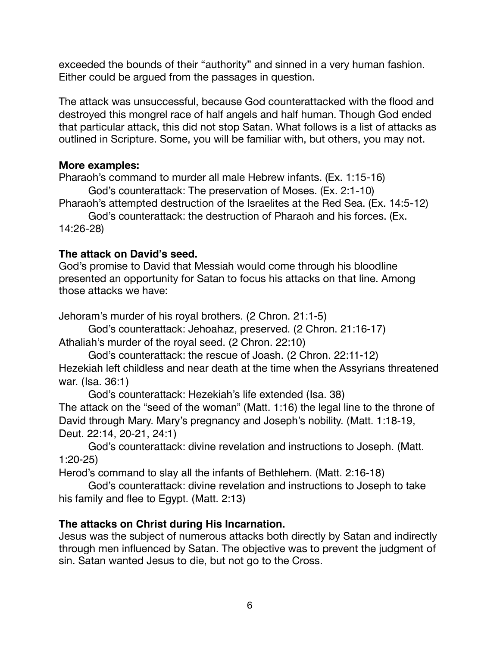exceeded the bounds of their "authority" and sinned in a very human fashion. Either could be argued from the passages in question.

The attack was unsuccessful, because God counterattacked with the flood and destroyed this mongrel race of half angels and half human. Though God ended that particular attack, this did not stop Satan. What follows is a list of attacks as outlined in Scripture. Some, you will be familiar with, but others, you may not.

## **More examples:**

Pharaoh's command to murder all male Hebrew infants. (Ex. 1:15-16)

God's counterattack: The preservation of Moses. (Ex. 2:1-10)

Pharaoh's attempted destruction of the Israelites at the Red Sea. (Ex. 14:5-12)

God's counterattack: the destruction of Pharaoh and his forces. (Ex. 14:26-28)

# **The attack on David's seed.**

God's promise to David that Messiah would come through his bloodline presented an opportunity for Satan to focus his attacks on that line. Among those attacks we have:

Jehoram's murder of his royal brothers. (2 Chron. 21:1-5)

God's counterattack: Jehoahaz, preserved. (2 Chron. 21:16-17) Athaliah's murder of the royal seed. (2 Chron. 22:10)

God's counterattack: the rescue of Joash. (2 Chron. 22:11-12) Hezekiah left childless and near death at the time when the Assyrians threatened war. (Isa. 36:1)

God's counterattack: Hezekiah's life extended (Isa. 38) The attack on the "seed of the woman" (Matt. 1:16) the legal line to the throne of David through Mary. Mary's pregnancy and Joseph's nobility. (Matt. 1:18-19, Deut. 22:14, 20-21, 24:1)

God's counterattack: divine revelation and instructions to Joseph. (Matt. 1:20-25)

Herod's command to slay all the infants of Bethlehem. (Matt. 2:16-18)

God's counterattack: divine revelation and instructions to Joseph to take his family and flee to Egypt. (Matt. 2:13)

# **The attacks on Christ during His Incarnation.**

Jesus was the subject of numerous attacks both directly by Satan and indirectly through men influenced by Satan. The objective was to prevent the judgment of sin. Satan wanted Jesus to die, but not go to the Cross.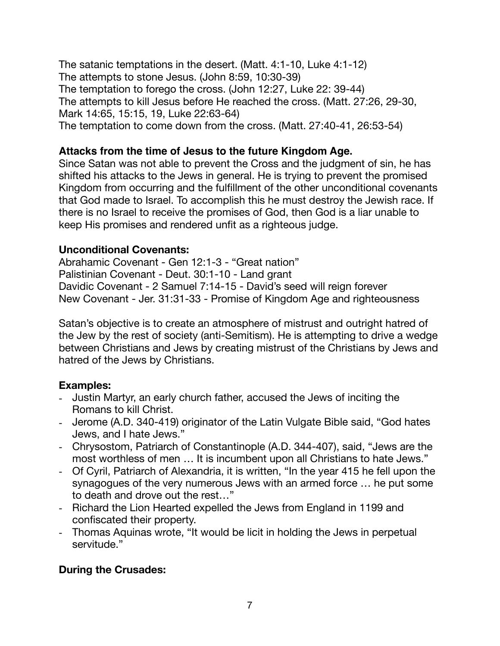The satanic temptations in the desert. (Matt. 4:1-10, Luke 4:1-12) The attempts to stone Jesus. (John 8:59, 10:30-39) The temptation to forego the cross. (John 12:27, Luke 22: 39-44) The attempts to kill Jesus before He reached the cross. (Matt. 27:26, 29-30, Mark 14:65, 15:15, 19, Luke 22:63-64) The temptation to come down from the cross. (Matt. 27:40-41, 26:53-54)

## **Attacks from the time of Jesus to the future Kingdom Age.**

Since Satan was not able to prevent the Cross and the judgment of sin, he has shifted his attacks to the Jews in general. He is trying to prevent the promised Kingdom from occurring and the fulfillment of the other unconditional covenants that God made to Israel. To accomplish this he must destroy the Jewish race. If there is no Israel to receive the promises of God, then God is a liar unable to keep His promises and rendered unfit as a righteous judge.

### **Unconditional Covenants:**

Abrahamic Covenant - Gen 12:1-3 - "Great nation" Palistinian Covenant - Deut. 30:1-10 - Land grant Davidic Covenant - 2 Samuel 7:14-15 - David's seed will reign forever New Covenant - Jer. 31:31-33 - Promise of Kingdom Age and righteousness

Satan's objective is to create an atmosphere of mistrust and outright hatred of the Jew by the rest of society (anti-Semitism). He is attempting to drive a wedge between Christians and Jews by creating mistrust of the Christians by Jews and hatred of the Jews by Christians.

# **Examples:**

- Justin Martyr, an early church father, accused the Jews of inciting the Romans to kill Christ.
- Jerome (A.D. 340-419) originator of the Latin Vulgate Bible said, "God hates Jews, and I hate Jews."
- Chrysostom, Patriarch of Constantinople (A.D. 344-407), said, "Jews are the most worthless of men … It is incumbent upon all Christians to hate Jews."
- Of Cyril, Patriarch of Alexandria, it is written, "In the year 415 he fell upon the synagogues of the very numerous Jews with an armed force … he put some to death and drove out the rest…"
- Richard the Lion Hearted expelled the Jews from England in 1199 and confiscated their property.
- Thomas Aquinas wrote, "It would be licit in holding the Jews in perpetual servitude."

# **During the Crusades:**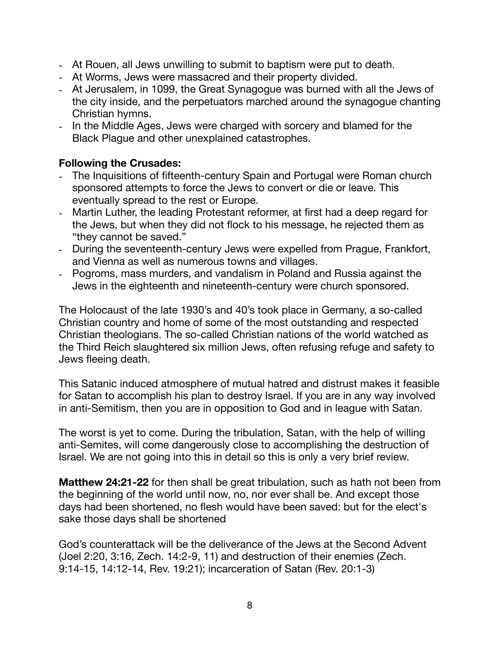- At Rouen, all Jews unwilling to submit to baptism were put to death.
- At Worms, Jews were massacred and their property divided.
- At Jerusalem, in 1099, the Great Synagogue was burned with all the Jews of the city inside, and the perpetuators marched around the synagogue chanting Christian hymns.
- In the Middle Ages, Jews were charged with sorcery and blamed for the Black Plague and other unexplained catastrophes.

#### **Following the Crusades:**

- The Inquisitions of fifteenth-century Spain and Portugal were Roman church sponsored attempts to force the Jews to convert or die or leave. This eventually spread to the rest or Europe.
- Martin Luther, the leading Protestant reformer, at first had a deep regard for the Jews, but when they did not flock to his message, he rejected them as "they cannot be saved."
- During the seventeenth-century Jews were expelled from Prague, Frankfort, and Vienna as well as numerous towns and villages.
- Pogroms, mass murders, and vandalism in Poland and Russia against the Jews in the eighteenth and nineteenth-century were church sponsored.

The Holocaust of the late 1930's and 40's took place in Germany, a so-called Christian country and home of some of the most outstanding and respected Christian theologians. The so-called Christian nations of the world watched as the Third Reich slaughtered six million Jews, often refusing refuge and safety to Jews fleeing death.

This Satanic induced atmosphere of mutual hatred and distrust makes it feasible for Satan to accomplish his plan to destroy Israel. If you are in any way involved in anti-Semitism, then you are in opposition to God and in league with Satan.

The worst is yet to come. During the tribulation, Satan, with the help of willing anti-Semites, will come dangerously close to accomplishing the destruction of Israel. We are not going into this in detail so this is only a very brief review.

**Matthew 24:21-22** for then shall be great tribulation, such as hath not been from the beginning of the world until now, no, nor ever shall be. And except those days had been shortened, no flesh would have been saved: but for the elect's sake those days shall be shortened

God's counterattack will be the deliverance of the Jews at the Second Advent (Joel 2:20, 3:16, Zech. 14:2-9, 11) and destruction of their enemies (Zech. 9:14-15, 14:12-14, Rev. 19:21); incarceration of Satan (Rev. 20:1-3)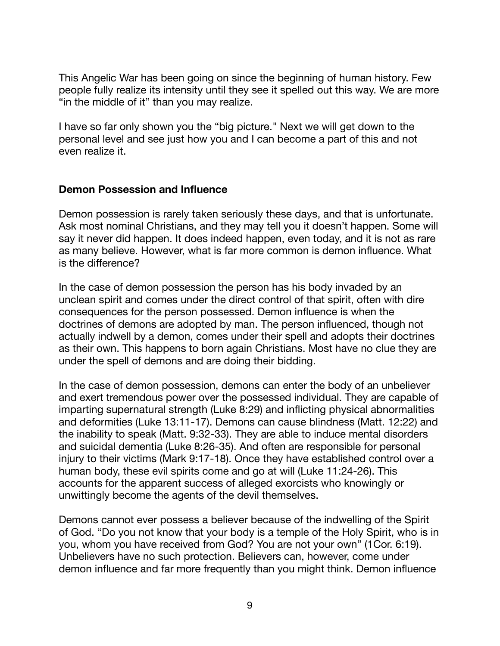This Angelic War has been going on since the beginning of human history. Few people fully realize its intensity until they see it spelled out this way. We are more "in the middle of it" than you may realize.

I have so far only shown you the "big picture." Next we will get down to the personal level and see just how you and I can become a part of this and not even realize it.

#### **Demon Possession and Influence**

Demon possession is rarely taken seriously these days, and that is unfortunate. Ask most nominal Christians, and they may tell you it doesn't happen. Some will say it never did happen. It does indeed happen, even today, and it is not as rare as many believe. However, what is far more common is demon influence. What is the difference?

In the case of demon possession the person has his body invaded by an unclean spirit and comes under the direct control of that spirit, often with dire consequences for the person possessed. Demon influence is when the doctrines of demons are adopted by man. The person influenced, though not actually indwell by a demon, comes under their spell and adopts their doctrines as their own. This happens to born again Christians. Most have no clue they are under the spell of demons and are doing their bidding.

In the case of demon possession, demons can enter the body of an unbeliever and exert tremendous power over the possessed individual. They are capable of imparting supernatural strength (Luke 8:29) and inflicting physical abnormalities and deformities (Luke 13:11-17). Demons can cause blindness (Matt. 12:22) and the inability to speak (Matt. 9:32-33). They are able to induce mental disorders and suicidal dementia (Luke 8:26-35). And often are responsible for personal injury to their victims (Mark 9:17-18). Once they have established control over a human body, these evil spirits come and go at will (Luke 11:24-26). This accounts for the apparent success of alleged exorcists who knowingly or unwittingly become the agents of the devil themselves.

Demons cannot ever possess a believer because of the indwelling of the Spirit of God. "Do you not know that your body is a temple of the Holy Spirit, who is in you, whom you have received from God? You are not your own" (1Cor. 6:19). Unbelievers have no such protection. Believers can, however, come under demon influence and far more frequently than you might think. Demon influence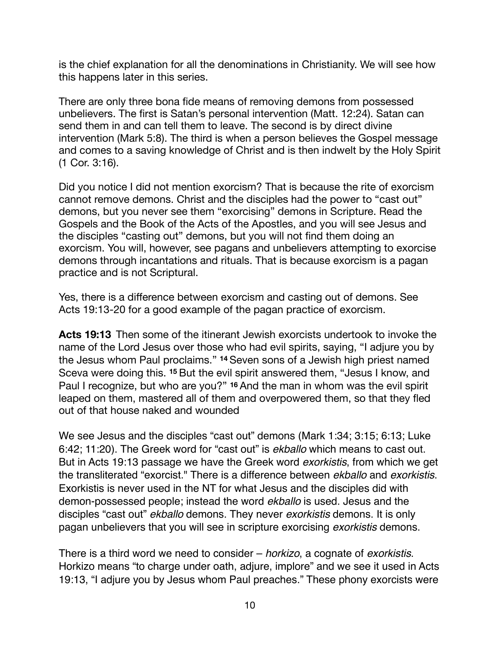is the chief explanation for all the denominations in Christianity. We will see how this happens later in this series.

There are only three bona fide means of removing demons from possessed unbelievers. The first is Satan's personal intervention (Matt. 12:24). Satan can send them in and can tell them to leave. The second is by direct divine intervention (Mark 5:8). The third is when a person believes the Gospel message and comes to a saving knowledge of Christ and is then indwelt by the Holy Spirit (1 Cor. 3:16).

Did you notice I did not mention exorcism? That is because the rite of exorcism cannot remove demons. Christ and the disciples had the power to "cast out" demons, but you never see them "exorcising" demons in Scripture. Read the Gospels and the Book of the Acts of the Apostles, and you will see Jesus and the disciples "casting out" demons, but you will not find them doing an exorcism. You will, however, see pagans and unbelievers attempting to exorcise demons through incantations and rituals. That is because exorcism is a pagan practice and is not Scriptural.

Yes, there is a difference between exorcism and casting out of demons. See Acts 19:13-20 for a good example of the pagan practice of exorcism.

**Acts 19:13** Then some of the itinerant Jewish exorcists undertook to invoke the name of the Lord Jesus over those who had evil spirits, saying, "I adjure you by the Jesus whom Paul proclaims." **<sup>14</sup>** Seven sons of a Jewish high priest named Sceva were doing this. **<sup>15</sup>** But the evil spirit answered them, "Jesus I know, and Paul I recognize, but who are you?" **<sup>16</sup>** And the man in whom was the evil spirit leaped on them, mastered all of them and overpowered them, so that they fled out of that house naked and wounded

We see Jesus and the disciples "cast out" demons (Mark 1:34; 3:15; 6:13; Luke 6:42; 11:20). The Greek word for "cast out" is *ekballo* which means to cast out. But in Acts 19:13 passage we have the Greek word *exorkistis*, from which we get the transliterated "exorcist." There is a difference between *ekballo* and *exorkistis*. Exorkistis is never used in the NT for what Jesus and the disciples did with demon-possessed people; instead the word *ekballo* is used. Jesus and the disciples "cast out" *ekballo* demons. They never *exorkistis* demons. It is only pagan unbelievers that you will see in scripture exorcising *exorkistis* demons.

There is a third word we need to consider – *horkizo*, a cognate of *exorkistis*. Horkizo means "to charge under oath, adjure, implore" and we see it used in Acts 19:13, "I adjure you by Jesus whom Paul preaches." These phony exorcists were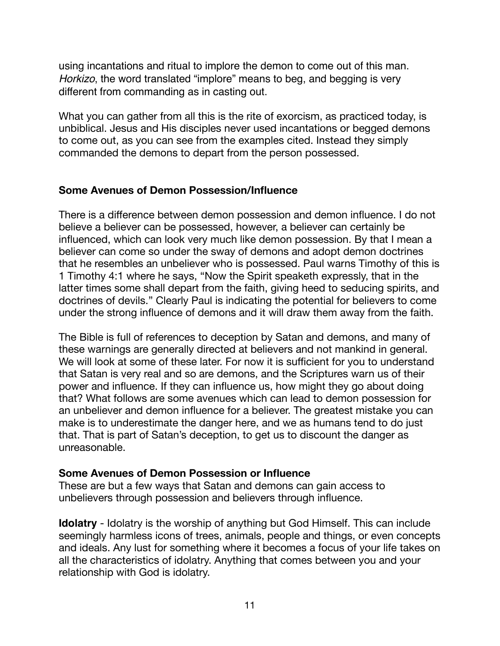using incantations and ritual to implore the demon to come out of this man. *Horkizo*, the word translated "implore" means to beg, and begging is very different from commanding as in casting out.

What you can gather from all this is the rite of exorcism, as practiced today, is unbiblical. Jesus and His disciples never used incantations or begged demons to come out, as you can see from the examples cited. Instead they simply commanded the demons to depart from the person possessed.

#### **Some Avenues of Demon Possession/Influence**

There is a difference between demon possession and demon influence. I do not believe a believer can be possessed, however, a believer can certainly be influenced, which can look very much like demon possession. By that I mean a believer can come so under the sway of demons and adopt demon doctrines that he resembles an unbeliever who is possessed. Paul warns Timothy of this is 1 Timothy 4:1 where he says, "Now the Spirit speaketh expressly, that in the latter times some shall depart from the faith, giving heed to seducing spirits, and doctrines of devils." Clearly Paul is indicating the potential for believers to come under the strong influence of demons and it will draw them away from the faith.

The Bible is full of references to deception by Satan and demons, and many of these warnings are generally directed at believers and not mankind in general. We will look at some of these later. For now it is sufficient for you to understand that Satan is very real and so are demons, and the Scriptures warn us of their power and influence. If they can influence us, how might they go about doing that? What follows are some avenues which can lead to demon possession for an unbeliever and demon influence for a believer. The greatest mistake you can make is to underestimate the danger here, and we as humans tend to do just that. That is part of Satan's deception, to get us to discount the danger as unreasonable.

#### **Some Avenues of Demon Possession or Influence**

These are but a few ways that Satan and demons can gain access to unbelievers through possession and believers through influence.

**Idolatry** - Idolatry is the worship of anything but God Himself. This can include seemingly harmless icons of trees, animals, people and things, or even concepts and ideals. Any lust for something where it becomes a focus of your life takes on all the characteristics of idolatry. Anything that comes between you and your relationship with God is idolatry.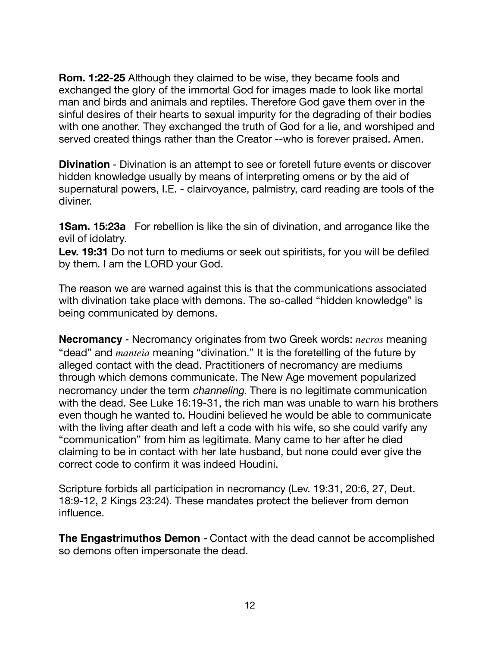**Rom. 1:22-25** Although they claimed to be wise, they became fools and exchanged the glory of the immortal God for images made to look like mortal man and birds and animals and reptiles. Therefore God gave them over in the sinful desires of their hearts to sexual impurity for the degrading of their bodies with one another. They exchanged the truth of God for a lie, and worshiped and served created things rather than the Creator --who is forever praised. Amen.

**Divination** - Divination is an attempt to see or foretell future events or discover hidden knowledge usually by means of interpreting omens or by the aid of supernatural powers, I.E. - clairvoyance, palmistry, card reading are tools of the diviner.

**1Sam. 15:23a** For rebellion is like the sin of divination, and arrogance like the evil of idolatry.

**Lev. 19:31** Do not turn to mediums or seek out spiritists, for you will be defiled by them. I am the LORD your God.

The reason we are warned against this is that the communications associated with divination take place with demons. The so-called "hidden knowledge" is being communicated by demons.

**Necromancy** - Necromancy originates from two Greek words: *necros* meaning "dead" and *manteia* meaning "divination." It is the foretelling of the future by alleged contact with the dead. Practitioners of necromancy are mediums through which demons communicate. The New Age movement popularized necromancy under the term *channeling*. There is no legitimate communication with the dead. See Luke 16:19-31, the rich man was unable to warn his brothers even though he wanted to. Houdini believed he would be able to communicate with the living after death and left a code with his wife, so she could varify any "communication" from him as legitimate. Many came to her after he died claiming to be in contact with her late husband, but none could ever give the correct code to confirm it was indeed Houdini.

Scripture forbids all participation in necromancy (Lev. 19:31, 20:6, 27, Deut. 18:9-12, 2 Kings 23:24). These mandates protect the believer from demon influence.

**The Engastrimuthos Demon** *-* Contact with the dead cannot be accomplished so demons often impersonate the dead.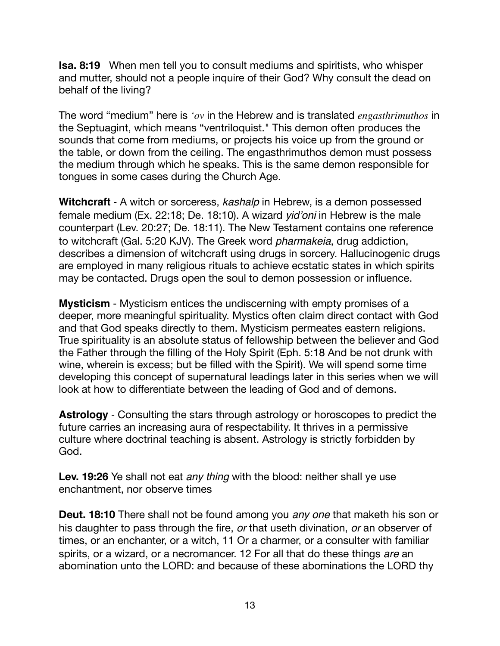**Isa. 8:19** When men tell you to consult mediums and spiritists, who whisper and mutter, should not a people inquire of their God? Why consult the dead on behalf of the living?

The word "medium" here is *'ov* in the Hebrew and is translated *engasthrimuthos* in the Septuagint, which means "ventriloquist." This demon often produces the sounds that come from mediums, or projects his voice up from the ground or the table, or down from the ceiling. The engasthrimuthos demon must possess the medium through which he speaks. This is the same demon responsible for tongues in some cases during the Church Age.

**Witchcraft** - A witch or sorceress, *kashalp* in Hebrew, is a demon possessed female medium (Ex. 22:18; De. 18:10). A wizard *yid'oni* in Hebrew is the male counterpart (Lev. 20:27; De. 18:11). The New Testament contains one reference to witchcraft (Gal. 5:20 KJV). The Greek word *pharmakeia*, drug addiction, describes a dimension of witchcraft using drugs in sorcery. Hallucinogenic drugs are employed in many religious rituals to achieve ecstatic states in which spirits may be contacted. Drugs open the soul to demon possession or influence.

**Mysticism** - Mysticism entices the undiscerning with empty promises of a deeper, more meaningful spirituality. Mystics often claim direct contact with God and that God speaks directly to them. Mysticism permeates eastern religions. True spirituality is an absolute status of fellowship between the believer and God the Father through the filling of the Holy Spirit (Eph. 5:18 And be not drunk with wine, wherein is excess; but be filled with the Spirit). We will spend some time developing this concept of supernatural leadings later in this series when we will look at how to differentiate between the leading of God and of demons.

**Astrology** - Consulting the stars through astrology or horoscopes to predict the future carries an increasing aura of respectability. It thrives in a permissive culture where doctrinal teaching is absent. Astrology is strictly forbidden by God.

**Lev. 19:26** Ye shall not eat *any thing* with the blood: neither shall ye use enchantment, nor observe times

**Deut. 18:10** There shall not be found among you *any one* that maketh his son or his daughter to pass through the fire, *or* that useth divination, *or* an observer of times, or an enchanter, or a witch, 11 Or a charmer, or a consulter with familiar spirits, or a wizard, or a necromancer. 12 For all that do these things *are* an abomination unto the LORD: and because of these abominations the LORD thy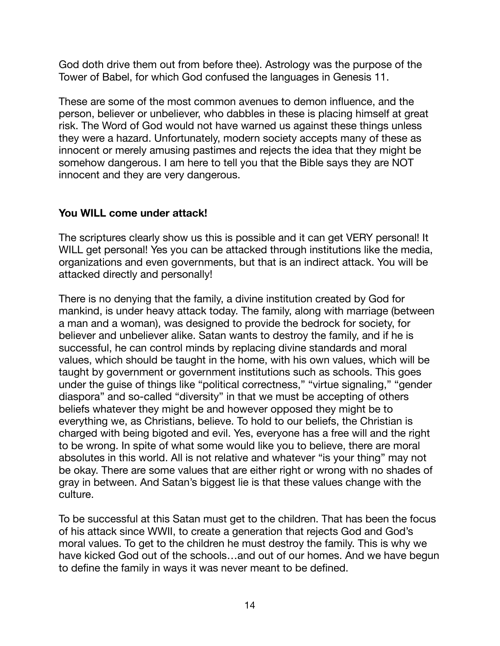God doth drive them out from before thee). Astrology was the purpose of the Tower of Babel, for which God confused the languages in Genesis 11.

These are some of the most common avenues to demon influence, and the person, believer or unbeliever, who dabbles in these is placing himself at great risk. The Word of God would not have warned us against these things unless they were a hazard. Unfortunately, modern society accepts many of these as innocent or merely amusing pastimes and rejects the idea that they might be somehow dangerous. I am here to tell you that the Bible says they are NOT innocent and they are very dangerous.

### **You WILL come under attack!**

The scriptures clearly show us this is possible and it can get VERY personal! It WILL get personal! Yes you can be attacked through institutions like the media, organizations and even governments, but that is an indirect attack. You will be attacked directly and personally!

There is no denying that the family, a divine institution created by God for mankind, is under heavy attack today. The family, along with marriage (between a man and a woman), was designed to provide the bedrock for society, for believer and unbeliever alike. Satan wants to destroy the family, and if he is successful, he can control minds by replacing divine standards and moral values, which should be taught in the home, with his own values, which will be taught by government or government institutions such as schools. This goes under the guise of things like "political correctness," "virtue signaling," "gender diaspora" and so-called "diversity" in that we must be accepting of others beliefs whatever they might be and however opposed they might be to everything we, as Christians, believe. To hold to our beliefs, the Christian is charged with being bigoted and evil. Yes, everyone has a free will and the right to be wrong. In spite of what some would like you to believe, there are moral absolutes in this world. All is not relative and whatever "is your thing" may not be okay. There are some values that are either right or wrong with no shades of gray in between. And Satan's biggest lie is that these values change with the culture.

To be successful at this Satan must get to the children. That has been the focus of his attack since WWII, to create a generation that rejects God and God's moral values. To get to the children he must destroy the family. This is why we have kicked God out of the schools…and out of our homes. And we have begun to define the family in ways it was never meant to be defined.